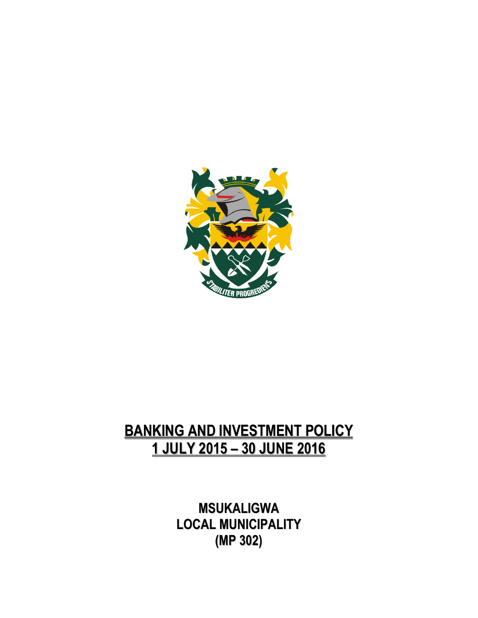

## **BANKING AND INVESTMENT POLICY 1 JULY 2015 – 30 JUNE 2016**

**MSUKALIGWA LOCAL MUNICIPALITY (MP 302)**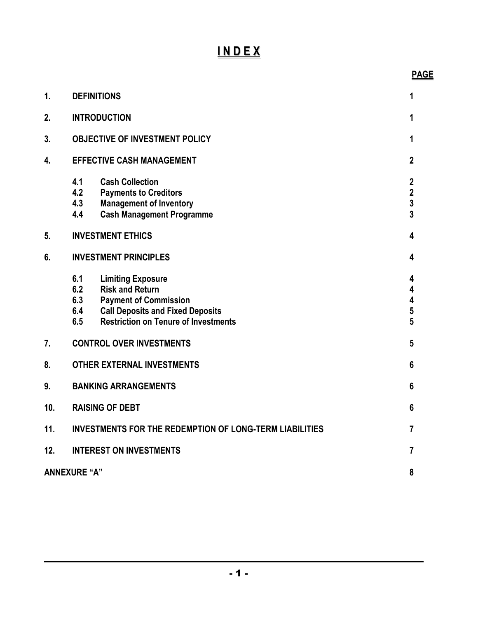## **I N D E X**

| 1.  | <b>DEFINITIONS</b>                                             |                                                                                                                                                                              | 1                                                                       |
|-----|----------------------------------------------------------------|------------------------------------------------------------------------------------------------------------------------------------------------------------------------------|-------------------------------------------------------------------------|
| 2.  | <b>INTRODUCTION</b>                                            |                                                                                                                                                                              | 1                                                                       |
| 3.  | <b>OBJECTIVE OF INVESTMENT POLICY</b>                          |                                                                                                                                                                              | 1                                                                       |
| 4.  | <b>EFFECTIVE CASH MANAGEMENT</b>                               |                                                                                                                                                                              | $\mathbf{2}$                                                            |
|     | 4.1<br>4.2<br>4.3<br>4.4                                       | <b>Cash Collection</b><br><b>Payments to Creditors</b><br><b>Management of Inventory</b><br><b>Cash Management Programme</b>                                                 | $\mathbf 2$<br>$\mathbf 2$<br>$\overline{\mathbf{3}}$<br>$\overline{3}$ |
| 5.  | <b>INVESTMENT ETHICS</b>                                       |                                                                                                                                                                              | 4                                                                       |
| 6.  | <b>INVESTMENT PRINCIPLES</b>                                   |                                                                                                                                                                              | 4                                                                       |
|     | 6.1<br>6.2<br>6.3<br>6.4<br>6.5                                | <b>Limiting Exposure</b><br><b>Risk and Return</b><br><b>Payment of Commission</b><br><b>Call Deposits and Fixed Deposits</b><br><b>Restriction on Tenure of Investments</b> | 4<br>4<br>4<br>$\overline{\mathbf{5}}$<br>5                             |
| 7.  | <b>CONTROL OVER INVESTMENTS</b>                                |                                                                                                                                                                              | 5                                                                       |
| 8.  | <b>OTHER EXTERNAL INVESTMENTS</b>                              |                                                                                                                                                                              | 6                                                                       |
| 9.  | <b>BANKING ARRANGEMENTS</b>                                    |                                                                                                                                                                              | 6                                                                       |
| 10. | <b>RAISING OF DEBT</b>                                         |                                                                                                                                                                              | 6                                                                       |
| 11. | <b>INVESTMENTS FOR THE REDEMPTION OF LONG-TERM LIABILITIES</b> |                                                                                                                                                                              | 7                                                                       |
| 12. | <b>INTEREST ON INVESTMENTS</b>                                 |                                                                                                                                                                              | 7                                                                       |
|     | <b>ANNEXURE "A"</b><br>8                                       |                                                                                                                                                                              |                                                                         |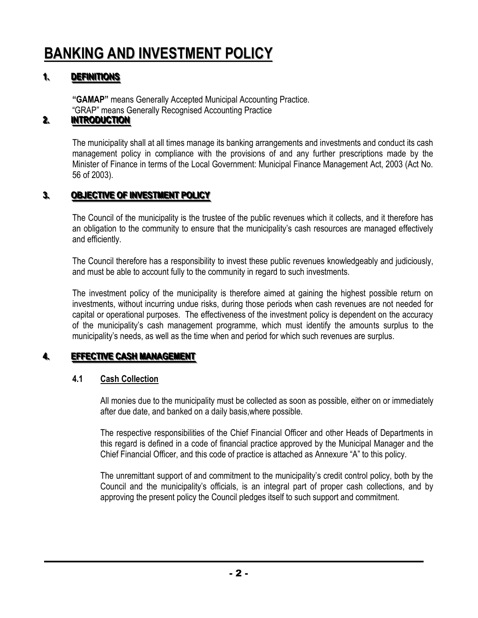# **BANKING AND INVESTMENT POLICY**

#### **11. I** DEFINITIONS

**"GAMAP"** means Generally Accepted Municipal Accounting Practice. "GRAP" means Generally Recognised Accounting Practice

#### **22. .. I INTRODUCTION**

The municipality shall at all times manage its banking arrangements and investments and conduct its cash management policy in compliance with the provisions of and any further prescriptions made by the Minister of Finance in terms of the Local Government: Municipal Finance Management Act, 2003 (Act No. 56 of 2003).

#### **33. ICCLICITIVE OF INVESTMENT POLICY**

The Council of the municipality is the trustee of the public revenues which it collects, and it therefore has an obligation to the community to ensure that the municipality's cash resources are managed effectively and efficiently.

The Council therefore has a responsibility to invest these public revenues knowledgeably and judiciously, and must be able to account fully to the community in regard to such investments.

The investment policy of the municipality is therefore aimed at gaining the highest possible return on investments, without incurring undue risks, during those periods when cash revenues are not needed for capital or operational purposes. The effectiveness of the investment policy is dependent on the accuracy of the municipality's cash management programme, which must identify the amounts surplus to the municipality's needs, as well as the time when and period for which such revenues are surplus.

#### **44. IEEFFECTIVE CASH MANAGEMENT**

## **4.1 Cash Collection**

All monies due to the municipality must be collected as soon as possible, either on or immediately after due date, and banked on a daily basis,where possible.

The respective responsibilities of the Chief Financial Officer and other Heads of Departments in this regard is defined in a code of financial practice approved by the Municipal Manager and the Chief Financial Officer, and this code of practice is attached as Annexure "A" to this policy.

The unremittant support of and commitment to the municipality's credit control policy, both by the Council and the municipality's officials, is an integral part of proper cash collections, and by approving the present policy the Council pledges itself to such support and commitment.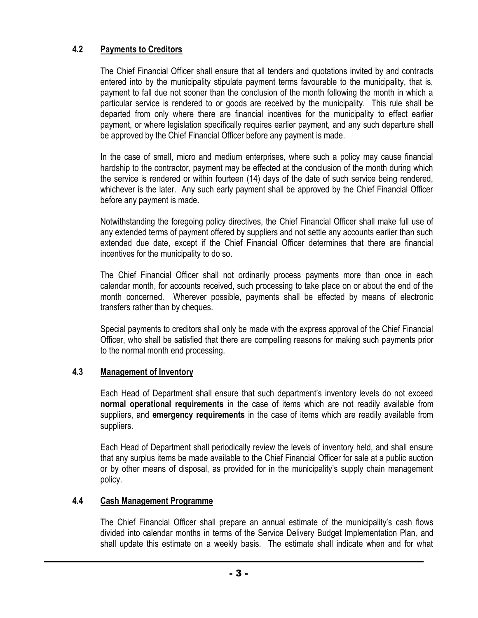## **4.2 Payments to Creditors**

The Chief Financial Officer shall ensure that all tenders and quotations invited by and contracts entered into by the municipality stipulate payment terms favourable to the municipality, that is, payment to fall due not sooner than the conclusion of the month following the month in which a particular service is rendered to or goods are received by the municipality. This rule shall be departed from only where there are financial incentives for the municipality to effect earlier payment, or where legislation specifically requires earlier payment, and any such departure shall be approved by the Chief Financial Officer before any payment is made.

In the case of small, micro and medium enterprises, where such a policy may cause financial hardship to the contractor, payment may be effected at the conclusion of the month during which the service is rendered or within fourteen (14) days of the date of such service being rendered, whichever is the later. Any such early payment shall be approved by the Chief Financial Officer before any payment is made.

Notwithstanding the foregoing policy directives, the Chief Financial Officer shall make full use of any extended terms of payment offered by suppliers and not settle any accounts earlier than such extended due date, except if the Chief Financial Officer determines that there are financial incentives for the municipality to do so.

The Chief Financial Officer shall not ordinarily process payments more than once in each calendar month, for accounts received, such processing to take place on or about the end of the month concerned. Wherever possible, payments shall be effected by means of electronic transfers rather than by cheques.

Special payments to creditors shall only be made with the express approval of the Chief Financial Officer, who shall be satisfied that there are compelling reasons for making such payments prior to the normal month end processing.

## **4.3 Management of Inventory**

Each Head of Department shall ensure that such department's inventory levels do not exceed **normal operational requirements** in the case of items which are not readily available from suppliers, and **emergency requirements** in the case of items which are readily available from suppliers.

Each Head of Department shall periodically review the levels of inventory held, and shall ensure that any surplus items be made available to the Chief Financial Officer for sale at a public auction or by other means of disposal, as provided for in the municipality's supply chain management policy.

## **4.4 Cash Management Programme**

The Chief Financial Officer shall prepare an annual estimate of the municipality's cash flows divided into calendar months in terms of the Service Delivery Budget Implementation Plan, and shall update this estimate on a weekly basis. The estimate shall indicate when and for what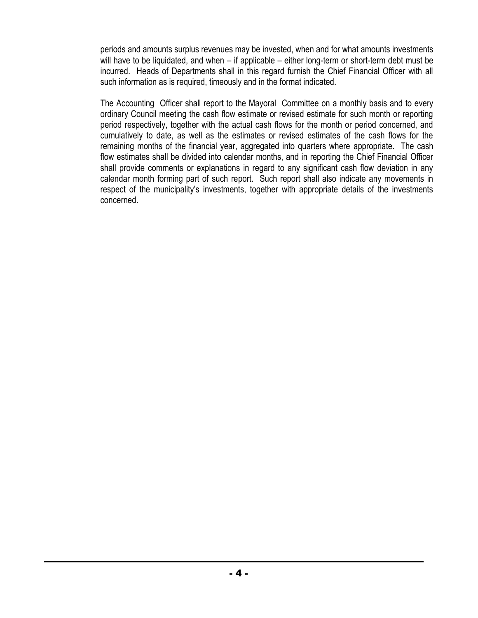periods and amounts surplus revenues may be invested, when and for what amounts investments will have to be liquidated, and when – if applicable – either long-term or short-term debt must be incurred. Heads of Departments shall in this regard furnish the Chief Financial Officer with all such information as is required, timeously and in the format indicated.

The Accounting Officer shall report to the Mayoral Committee on a monthly basis and to every ordinary Council meeting the cash flow estimate or revised estimate for such month or reporting period respectively, together with the actual cash flows for the month or period concerned, and cumulatively to date, as well as the estimates or revised estimates of the cash flows for the remaining months of the financial year, aggregated into quarters where appropriate. The cash flow estimates shall be divided into calendar months, and in reporting the Chief Financial Officer shall provide comments or explanations in regard to any significant cash flow deviation in any calendar month forming part of such report. Such report shall also indicate any movements in respect of the municipality's investments, together with appropriate details of the investments concerned.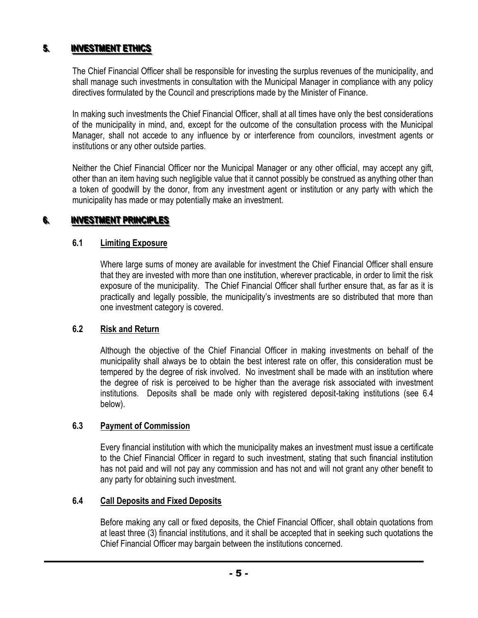#### **55. investment ethics**

The Chief Financial Officer shall be responsible for investing the surplus revenues of the municipality, and shall manage such investments in consultation with the Municipal Manager in compliance with any policy directives formulated by the Council and prescriptions made by the Minister of Finance.

In making such investments the Chief Financial Officer, shall at all times have only the best considerations of the municipality in mind, and, except for the outcome of the consultation process with the Municipal Manager, shall not accede to any influence by or interference from councilors, investment agents or institutions or any other outside parties.

Neither the Chief Financial Officer nor the Municipal Manager or any other official, may accept any gift, other than an item having such negligible value that it cannot possibly be construed as anything other than a token of goodwill by the donor, from any investment agent or institution or any party with which the municipality has made or may potentially make an investment.

#### **66. investment principles**

### **6.1 Limiting Exposure**

Where large sums of money are available for investment the Chief Financial Officer shall ensure that they are invested with more than one institution, wherever practicable, in order to limit the risk exposure of the municipality. The Chief Financial Officer shall further ensure that, as far as it is practically and legally possible, the municipality's investments are so distributed that more than one investment category is covered.

### **6.2 Risk and Return**

Although the objective of the Chief Financial Officer in making investments on behalf of the municipality shall always be to obtain the best interest rate on offer, this consideration must be tempered by the degree of risk involved. No investment shall be made with an institution where the degree of risk is perceived to be higher than the average risk associated with investment institutions. Deposits shall be made only with registered deposit-taking institutions (see 6.4 below).

### **6.3 Payment of Commission**

Every financial institution with which the municipality makes an investment must issue a certificate to the Chief Financial Officer in regard to such investment, stating that such financial institution has not paid and will not pay any commission and has not and will not grant any other benefit to any party for obtaining such investment.

## **6.4 Call Deposits and Fixed Deposits**

Before making any call or fixed deposits, the Chief Financial Officer, shall obtain quotations from at least three (3) financial institutions, and it shall be accepted that in seeking such quotations the Chief Financial Officer may bargain between the institutions concerned.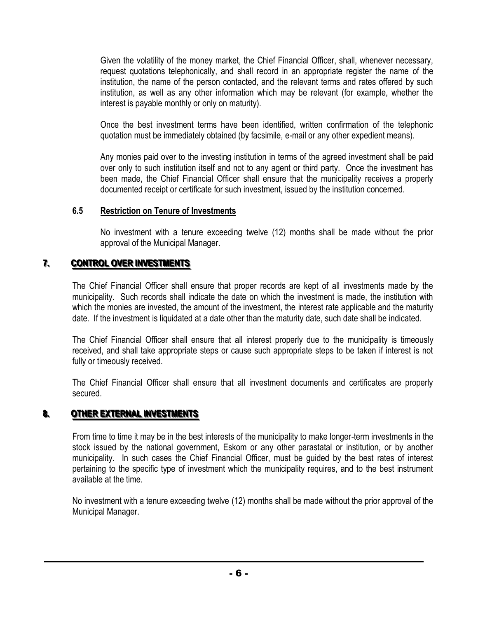Given the volatility of the money market, the Chief Financial Officer, shall, whenever necessary, request quotations telephonically, and shall record in an appropriate register the name of the institution, the name of the person contacted, and the relevant terms and rates offered by such institution, as well as any other information which may be relevant (for example, whether the interest is payable monthly or only on maturity).

Once the best investment terms have been identified, written confirmation of the telephonic quotation must be immediately obtained (by facsimile, e-mail or any other expedient means).

Any monies paid over to the investing institution in terms of the agreed investment shall be paid over only to such institution itself and not to any agent or third party. Once the investment has been made, the Chief Financial Officer shall ensure that the municipality receives a properly documented receipt or certificate for such investment, issued by the institution concerned.

### **6.5 Restriction on Tenure of Investments**

No investment with a tenure exceeding twelve (12) months shall be made without the prior approval of the Municipal Manager.

#### **77. CONTROL OVER INVESTMENTS**

The Chief Financial Officer shall ensure that proper records are kept of all investments made by the municipality. Such records shall indicate the date on which the investment is made, the institution with which the monies are invested, the amount of the investment, the interest rate applicable and the maturity date. If the investment is liquidated at a date other than the maturity date, such date shall be indicated.

The Chief Financial Officer shall ensure that all interest properly due to the municipality is timeously received, and shall take appropriate steps or cause such appropriate steps to be taken if interest is not fully or timeously received.

The Chief Financial Officer shall ensure that all investment documents and certificates are properly secured.

#### **88. 2. OTHER EXTERNAL INVESTMENTS**

From time to time it may be in the best interests of the municipality to make longer-term investments in the stock issued by the national government, Eskom or any other parastatal or institution, or by another municipality. In such cases the Chief Financial Officer, must be guided by the best rates of interest pertaining to the specific type of investment which the municipality requires, and to the best instrument available at the time.

No investment with a tenure exceeding twelve (12) months shall be made without the prior approval of the Municipal Manager.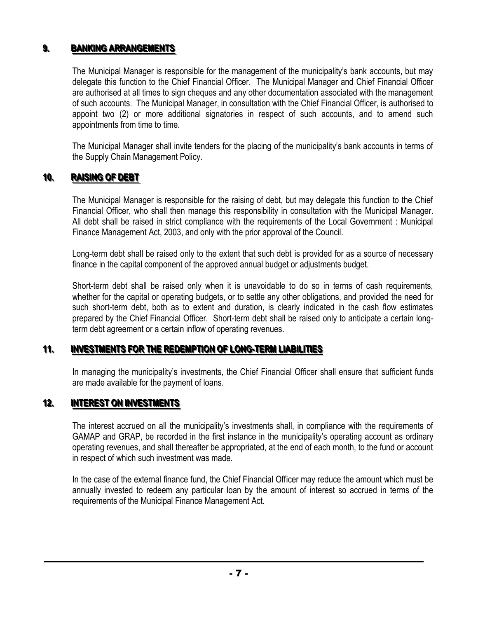#### **99. ISANKING ARRANGEMENTS**

The Municipal Manager is responsible for the management of the municipality's bank accounts, but may delegate this function to the Chief Financial Officer. The Municipal Manager and Chief Financial Officer are authorised at all times to sign cheques and any other documentation associated with the management of such accounts. The Municipal Manager, in consultation with the Chief Financial Officer, is authorised to appoint two (2) or more additional signatories in respect of such accounts, and to amend such appointments from time to time.

The Municipal Manager shall invite tenders for the placing of the municipality's bank accounts in terms of the Supply Chain Management Policy.

#### **10 RAISING OF DEBT**

The Municipal Manager is responsible for the raising of debt, but may delegate this function to the Chief Financial Officer, who shall then manage this responsibility in consultation with the Municipal Manager. All debt shall be raised in strict compliance with the requirements of the Local Government : Municipal Finance Management Act, 2003, and only with the prior approval of the Council.

Long-term debt shall be raised only to the extent that such debt is provided for as a source of necessary finance in the capital component of the approved annual budget or adjustments budget.

Short-term debt shall be raised only when it is unavoidable to do so in terms of cash requirements, whether for the capital or operating budgets, or to settle any other obligations, and provided the need for such short-term debt, both as to extent and duration, is clearly indicated in the cash flow estimates prepared by the Chief Financial Officer. Short-term debt shall be raised only to anticipate a certain longterm debt agreement or a certain inflow of operating revenues.

#### **1111. .. I INVESTMENTS FOR THE REDEMPTION OF LONG-TERM LIABILITIES**

In managing the municipality's investments, the Chief Financial Officer shall ensure that sufficient funds are made available for the payment of loans.

#### **12. I INTEREST ON INVESTMENTS**

The interest accrued on all the municipality's investments shall, in compliance with the requirements of GAMAP and GRAP, be recorded in the first instance in the municipality's operating account as ordinary operating revenues, and shall thereafter be appropriated, at the end of each month, to the fund or account in respect of which such investment was made.

In the case of the external finance fund, the Chief Financial Officer may reduce the amount which must be annually invested to redeem any particular loan by the amount of interest so accrued in terms of the requirements of the Municipal Finance Management Act.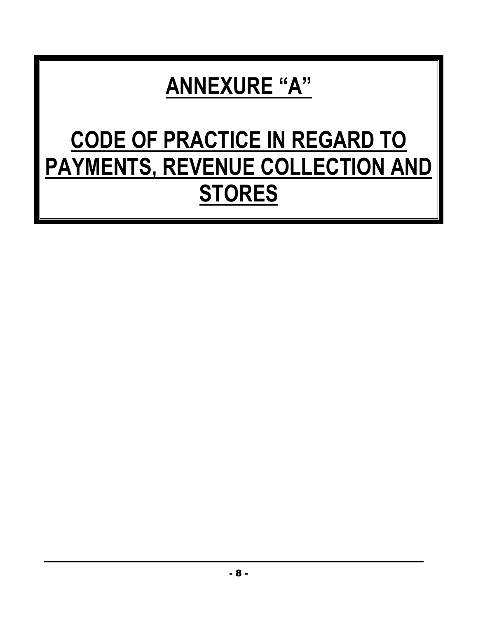# **ANNEXURE "A"**

# **CODE OF PRACTICE IN REGARD TO PAYMENTS, REVENUE COLLECTION AND STORES**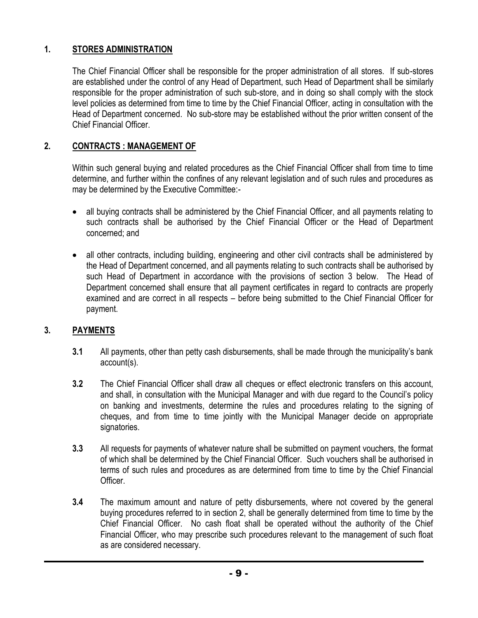## **1. STORES ADMINISTRATION**

The Chief Financial Officer shall be responsible for the proper administration of all stores. If sub-stores are established under the control of any Head of Department, such Head of Department shall be similarly responsible for the proper administration of such sub-store, and in doing so shall comply with the stock level policies as determined from time to time by the Chief Financial Officer, acting in consultation with the Head of Department concerned. No sub-store may be established without the prior written consent of the Chief Financial Officer.

## **2. CONTRACTS : MANAGEMENT OF**

Within such general buying and related procedures as the Chief Financial Officer shall from time to time determine, and further within the confines of any relevant legislation and of such rules and procedures as may be determined by the Executive Committee:-

- all buying contracts shall be administered by the Chief Financial Officer, and all payments relating to such contracts shall be authorised by the Chief Financial Officer or the Head of Department concerned; and
- all other contracts, including building, engineering and other civil contracts shall be administered by the Head of Department concerned, and all payments relating to such contracts shall be authorised by such Head of Department in accordance with the provisions of section 3 below. The Head of Department concerned shall ensure that all payment certificates in regard to contracts are properly examined and are correct in all respects – before being submitted to the Chief Financial Officer for payment.

## **3. PAYMENTS**

- **3.1** All payments, other than petty cash disbursements, shall be made through the municipality's bank account(s).
- **3.2** The Chief Financial Officer shall draw all cheques or effect electronic transfers on this account, and shall, in consultation with the Municipal Manager and with due regard to the Council's policy on banking and investments, determine the rules and procedures relating to the signing of cheques, and from time to time jointly with the Municipal Manager decide on appropriate signatories.
- **3.3** All requests for payments of whatever nature shall be submitted on payment vouchers, the format of which shall be determined by the Chief Financial Officer. Such vouchers shall be authorised in terms of such rules and procedures as are determined from time to time by the Chief Financial Officer.
- **3.4** The maximum amount and nature of petty disbursements, where not covered by the general buying procedures referred to in section 2, shall be generally determined from time to time by the Chief Financial Officer. No cash float shall be operated without the authority of the Chief Financial Officer, who may prescribe such procedures relevant to the management of such float as are considered necessary.